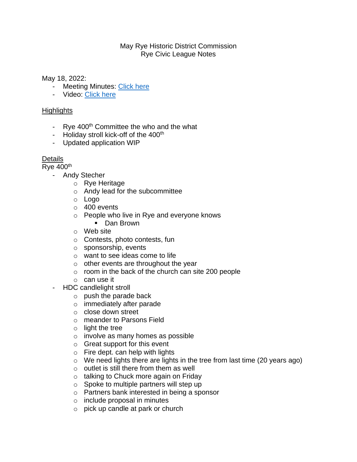## May Rye Historic District Commission Rye Civic League Notes

May 18, 2022:

- Meeting Minutes: [Click here](https://www.town.rye.nh.us/historic-district-commission/minutes/historic-district-commission-minutes-36)
- Video: [Click here](https://townhallstreams.com/stream.php?location_id=32&id=44606)

## **Highlights**

- Rye  $400<sup>th</sup>$  Committee the who and the what
- Holiday stroll kick-off of the 400<sup>th</sup>
- Updated application WIP

## Details

Rye  $400<sup>th</sup>$ 

- Andy Stecher
	- o Rye Heritage
	- o Andy lead for the subcommittee
	- o Logo
	- o 400 events
	- o People who live in Rye and everyone knows
		- Dan Brown
	- o Web site
	- o Contests, photo contests, fun
	- o sponsorship, events
	- o want to see ideas come to life
	- $\circ$  other events are throughout the year
	- o room in the back of the church can site 200 people
	- o can use it
- HDC candlelight stroll
	- $\circ$  push the parade back
	- o immediately after parade
	- o close down street
	- o meander to Parsons Field
	- $\circ$  light the tree
	- o involve as many homes as possible
	- o Great support for this event
	- $\circ$  Fire dept. can help with lights
	- o We need lights there are lights in the tree from last time (20 years ago)
	- $\circ$  outlet is still there from them as well
	- o talking to Chuck more again on Friday
	- o Spoke to multiple partners will step up
	- o Partners bank interested in being a sponsor
	- o include proposal in minutes
	- o pick up candle at park or church